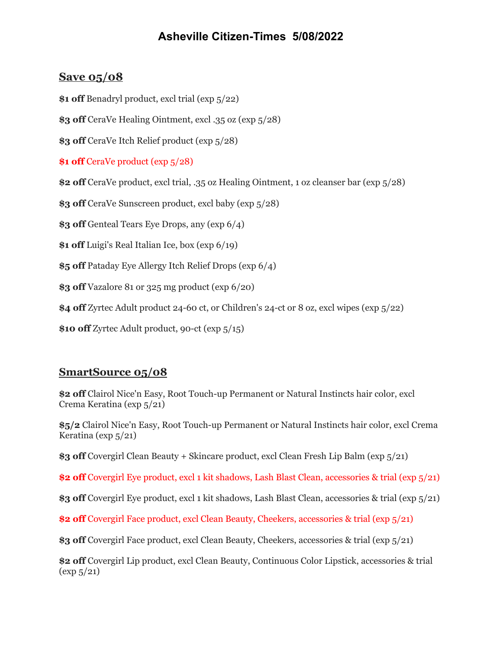## **Asheville Citizen-Times 5/08/2022**

## **Save 05/08**

**\$1 off** Benadryl product, excl trial (exp 5/22)

**\$3 off** CeraVe Healing Ointment, excl .35 oz (exp 5/28)

**\$3 off** CeraVe Itch Relief product (exp 5/28)

**\$1 off** CeraVe product (exp 5/28)

**\$2 off** CeraVe product, excl trial, .35 oz Healing Ointment, 1 oz cleanser bar (exp 5/28)

**\$3 off** CeraVe Sunscreen product, excl baby (exp 5/28)

**\$3 off** Genteal Tears Eye Drops, any (exp 6/4)

**\$1 off** Luigi's Real Italian Ice, box (exp 6/19)

**\$5 off** Pataday Eye Allergy Itch Relief Drops (exp 6/4)

**\$3 off** Vazalore 81 or 325 mg product (exp 6/20)

**\$4 off** Zyrtec Adult product 24-60 ct, or Children's 24-ct or 8 oz, excl wipes (exp 5/22)

**\$10 off** Zyrtec Adult product, 90-ct (exp 5/15)

## **SmartSource 05/08**

**\$2 off** Clairol Nice'n Easy, Root Touch-up Permanent or Natural Instincts hair color, excl Crema Keratina (exp 5/21)

**\$5/2** Clairol Nice'n Easy, Root Touch-up Permanent or Natural Instincts hair color, excl Crema Keratina (exp 5/21)

**\$3 off** Covergirl Clean Beauty + Skincare product, excl Clean Fresh Lip Balm (exp 5/21)

**\$2 off** Covergirl Eye product, excl 1 kit shadows, Lash Blast Clean, accessories & trial (exp 5/21)

**\$3 off** Covergirl Eye product, excl 1 kit shadows, Lash Blast Clean, accessories & trial (exp 5/21)

**\$2 off** Covergirl Face product, excl Clean Beauty, Cheekers, accessories & trial (exp 5/21)

**\$3 off** Covergirl Face product, excl Clean Beauty, Cheekers, accessories & trial (exp 5/21)

**\$2 off** Covergirl Lip product, excl Clean Beauty, Continuous Color Lipstick, accessories & trial  $(\exp 5/21)$